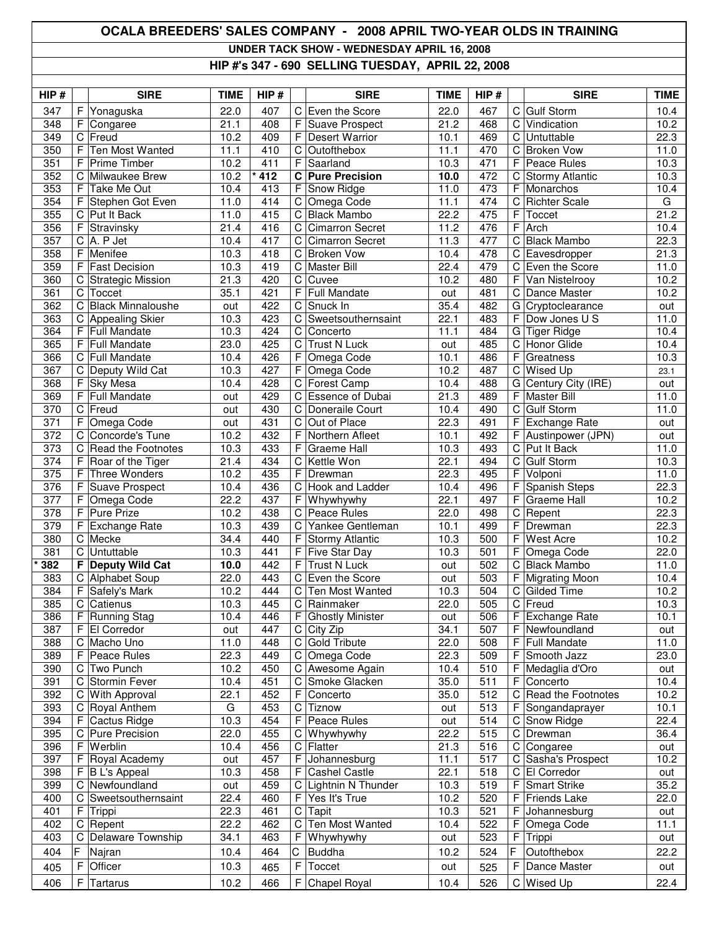## **OCALA BREEDERS' SALES COMPANY - 2008 APRIL TWO-YEAR OLDS IN TRAINING UNDER TACK SHOW - WEDNESDAY APRIL 16, 2008**

**HIP #'s 347 - 690 SELLING TUESDAY, APRIL 22, 2008**

| HIP#             |                  | <b>SIRE</b>                    | <b>TIME</b>  | HIP#       |                  | <b>SIRE</b>                                  | <b>TIME</b>  | HIP#                    |             | <b>SIRE</b>                                 | <b>TIME</b>       |
|------------------|------------------|--------------------------------|--------------|------------|------------------|----------------------------------------------|--------------|-------------------------|-------------|---------------------------------------------|-------------------|
| 347              | F                | Yonaguska                      | 22.0         | 407        |                  | C Even the Score                             | 22.0         | 467                     | C           | <b>Gulf Storm</b>                           | 10.4              |
| 348              | F                | Congaree                       | 21.1         | 408        | F                | Suave Prospect                               | 21.2         | 468                     | C           | Vindication                                 | 10.2              |
| 349              | C                | Freud                          | 10.2         | 409        | F                | <b>Desert Warrior</b>                        | 10.1         | 469                     | $\mathsf C$ | Untuttable                                  | 22.3              |
| 350              | F                | Ten Most Wanted                | 11.1         | 410        | C                | Outofthebox                                  | 11.1         | 470                     | C           | <b>Broken Vow</b>                           | 11.0              |
| 351              | F                | <b>Prime Timber</b>            | 10.2         | 411        | F                | Saarland                                     | 10.3         | 471                     | F           | Peace Rules                                 | 10.3              |
| 352              | C                | Milwaukee Brew                 | 10.2         | 412        | C                | <b>Pure Precision</b>                        | 10.0         | 472                     | С           | <b>Stormy Atlantic</b>                      | 10.3              |
| 353              | F                | Take Me Out                    | 10.4         | 413        | F                | Snow Ridge                                   | 11.0         | 473                     | F           | Monarchos                                   | 10.4              |
| 354              | F                | Stephen Got Even               | 11.0         | 414        |                  | C Omega Code                                 | 11.1         | 474                     | С           | <b>Richter Scale</b>                        | G                 |
| 355              |                  | C Put It Back                  | 11.0         | 415        | C                | <b>Black Mambo</b><br><b>Cimarron Secret</b> | 22.2         | 475                     | F<br>F      | Toccet                                      | 21.2              |
| 356              | F                | Stravinsky                     | 21.4         | 416        | C                | <b>Cimarron Secret</b>                       | 11.2<br>11.3 | 476                     |             | Arch<br><b>Black Mambo</b>                  | 10.4              |
| 357<br>358       | C<br>F           | A. P Jet<br>Menifee            | 10.4<br>10.3 | 417<br>418 | C<br>$\mathsf C$ | <b>Broken Vow</b>                            | 10.4         | 477<br>478              | C<br>C      | Eavesdropper                                | 22.3<br>21.3      |
| 359              | F                | <b>Fast Decision</b>           | 10.3         | 419        | C                | <b>Master Bill</b>                           | 22.4         | 479                     | C           | Even the Score                              | 11.0              |
| 360              | C                | Strategic Mission              | 21.3         | 420        |                  | C Cuvee                                      | 10.2         | 480                     | F           | Van Nistelrooy                              | 10.2              |
| 361              | $\mathsf C$      | Toccet                         | 35.1         | 421        | F                | <b>Full Mandate</b>                          | out          | 481                     | C           | Dance Master                                | 10.2              |
| 362              | $\mathsf C$      | <b>Black Minnaloushe</b>       | out          | 422        | $\mathsf C$      | Snuck In                                     | 35.4         | 482                     | G           | Cryptoclearance                             | out               |
| 363              |                  | C Appealing Skier              | 10.3         | 423        |                  | C Sweetsouthernsaint                         | 22.1         | 483                     | F           | Dow Jones U S                               | 11.0              |
| 364              | F                | Full Mandate                   | 10.3         | 424        | C                | Concerto                                     | 11.1         | 484                     | G           | <b>Tiger Ridge</b>                          | 10.4              |
| 365              | F                | <b>Full Mandate</b>            | 23.0         | 425        | C                | <b>Trust N Luck</b>                          | out          | 485                     | $\mathsf C$ | Honor Glide                                 | 10.4              |
| 366              |                  | C Full Mandate                 | 10.4         | 426        | F                | Omega Code                                   | 10.1         | 486                     | F           | Greatness                                   | 10.3              |
| 367              |                  | C Deputy Wild Cat              | 10.3         | 427        | F                | Omega Code                                   | 10.2         | 487                     | $\mathsf C$ | Wised Up                                    | 23.1              |
| 368              | F                | <b>Sky Mesa</b>                | 10.4         | 428        | C                | Forest Camp                                  | 10.4         | 488                     | G           | Century City (IRE)                          | out               |
| 369              | F                | <b>Full Mandate</b>            | out          | 429        | $\mathsf C$      | Essence of Dubai                             | 21.3         | 489                     | F           | <b>Master Bill</b>                          | 11.0              |
| $\overline{370}$ | $\mathbf C$      | Freud                          | out          | 430        | C                | Doneraile Court                              | 10.4         | 490                     | С           | Gulf Storm                                  | 11.0              |
| 371              | F                | Omega Code                     | out          | 431        | C                | Out of Place                                 | 22.3         | 491                     | F           | <b>Exchange Rate</b>                        | out               |
| $\overline{372}$ | C                | Concorde's Tune                | 10.2         | 432        | F                | Northern Afleet                              | 10.1         | 492                     | F           | Austinpower (JPN)                           | out               |
| 373              |                  | C Read the Footnotes           | 10.3         | 433        | F                | <b>Graeme Hall</b>                           | 10.3         | 493                     | $\mathsf C$ | Put It Back                                 | 11.0              |
| 374              | F                | Roar of the Tiger              | 21.4         | 434        | $\mathsf C$      | Kettle Won                                   | 22.1         | 494                     | С           | <b>Gulf Storm</b>                           | 10.3              |
| $\overline{375}$ | F                | Three Wonders                  | 10.2         | 435        | F                | Drewman                                      | 22.3         | 495                     | F           | Volponi                                     | 11.0              |
| $\overline{376}$ | F                | Suave Prospect                 | 10.4         | 436        | C                | Hook and Ladder                              | 10.4         | 496                     | F           | Spanish Steps                               | 22.3              |
| 377              | F                | Omega Code                     | 22.2         | 437        | F                | Whywhywhy                                    | 22.1         | 497                     | F           | <b>Graeme Hall</b>                          | $\overline{10.2}$ |
| 378              | F                | <b>Pure Prize</b>              | 10.2         | 438        | $\mathsf C$      | Peace Rules                                  | 22.0         | 498                     | C           | Repent                                      | 22.3              |
| $\overline{379}$ | F                | <b>Exchange Rate</b>           | 10.3         | 439        | $\mathsf C$      | Yankee Gentleman                             | 10.1         | 499                     | F           | Drewman                                     | 22.3              |
| 380              |                  | C Mecke                        | 34.4         | 440        | F                | <b>Stormy Atlantic</b>                       | 10.3         | 500                     | F           | <b>West Acre</b>                            | 10.2              |
| 381              | C                | Untuttable                     | 10.3         | 441        | $\overline{F}$   | <b>Five Star Day</b>                         | 10.3         | 501                     | F           | Omega Code                                  | 22.0              |
| 382<br>383       | F<br>$\mathbf C$ | <b>Deputy Wild Cat</b>         | 10.0         | 442        | $\mathsf F$<br>C | <b>Trust N Luck</b>                          | out          | 502<br>$\overline{503}$ | C<br>F      | <b>Black Mambo</b>                          | 11.0<br>10.4      |
| 384              | F                | Alphabet Soup<br>Safely's Mark | 22.0<br>10.2 | 443<br>444 | C                | Even the Score<br>Ten Most Wanted            | out<br>10.3  | 504                     | С           | <b>Migrating Moon</b><br><b>Gilded Time</b> | 10.2              |
| 385              |                  | C Catienus                     | 10.3         | 445        |                  | C Rainmaker                                  | 22.0         | 505                     |             | C Freud                                     | 10.3              |
| 386              | F.               | Running Stag                   | 10.4         | 446        | F                | <b>Ghostly Minister</b>                      | out          | 506                     | F           | <b>Exchange Rate</b>                        | 10.1              |
| 387              | F                | El Corredor                    | out          | 447        |                  | $C$ City Zip                                 | 34.1         | 507                     | F           | Newfoundland                                | out               |
| 388              |                  | C Macho Uno                    | 11.0         | 448        | C                | Gold Tribute                                 | 22.0         | 508                     | F           | <b>Full Mandate</b>                         | 11.0              |
| 389              | F                | Peace Rules                    | 22.3         | 449        | C                | Omega Code                                   | 22.3         | 509                     | F           | Smooth Jazz                                 | 23.0              |
| 390              | C                | Two Punch                      | 10.2         | 450        | C                | Awesome Again                                | 10.4         | 510                     | F           | Medaglia d'Oro                              | out               |
| 391              | C                | Stormin Fever                  | 10.4         | 451        | C                | Smoke Glacken                                | 35.0         | 511                     | F           | Concerto                                    | 10.4              |
| 392              | C                | With Approval                  | 22.1         | 452        | F                | Concerto                                     | 35.0         | 512                     | C           | Read the Footnotes                          | 10.2              |
| 393              | C                | Royal Anthem                   | G            | 453        | C                | Tiznow                                       | out          | 513                     | F           | Songandaprayer                              | 10.1              |
| 394              | F                | Cactus Ridge                   | 10.3         | 454        | F                | Peace Rules                                  | out          | 514                     | C           | Snow Ridge                                  | 22.4              |
| 395              | C                | <b>Pure Precision</b>          | 22.0         | 455        | C                | Whywhywhy                                    | 22.2         | 515                     | C           | Drewman                                     | 36.4              |
| 396              | F                | Werblin                        | 10.4         | 456        | C                | Flatter                                      | 21.3         | 516                     | C           | Congaree                                    | out               |
| 397              | F                | Royal Academy                  | out          | 457        | F                | Johannesburg                                 | 11.1         | 517                     | C           | Sasha's Prospect                            | 10.2              |
| 398              | F                | <b>B L's Appeal</b>            | 10.3         | 458        | F                | <b>Cashel Castle</b>                         | 22.1         | 518                     | C           | <b>El Corredor</b>                          | out               |
| 399              |                  | C Newfoundland                 | out          | 459        |                  | C Lightnin N Thunder                         | 10.3         | 519                     | F           | <b>Smart Strike</b>                         | 35.2              |
| 400              | C                | Sweetsouthernsaint             | 22.4         | 460        | F                | Yes It's True                                | 10.2         | 520                     | F           | <b>Friends Lake</b>                         | 22.0              |
| 401              | F                | Trippi                         | 22.3         | 461        | $\mathsf C$      | Tapit                                        | 10.3         | 521                     | F           | Johannesburg                                | out               |
| 402              | C                | Repent                         | 22.2         | 462        | C                | <b>Ten Most Wanted</b>                       | 10.4         | 522                     | F           | Omega Code                                  | 11.1              |
| 403              | C                | Delaware Township              | 34.1         | 463        | F                | Whywhywhy                                    | out          | 523                     | F           | Trippi                                      | out               |
| 404              | F.               | Najran                         | 10.4         | 464        | С                | <b>Buddha</b>                                | 10.2         | 524                     | F           | Outofthebox                                 | 22.2              |
| 405              | F                | Officer                        | 10.3         | 465        | F                | Toccet                                       | out          | 525                     | F           | Dance Master                                | out               |
| 406              | F                | Tartarus                       | 10.2         | 466        | F                | Chapel Royal                                 | 10.4         | 526                     | C           | <b>Wised Up</b>                             | 22.4              |